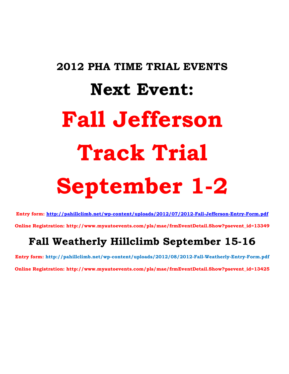# **2012 PHA TIME TRIAL EVENTS Next Event: Fall Jefferson Track Trial September 1-2**

**Entry form:<http://pahillclimb.net/wp-content/uploads/2012/07/2012-Fall-Jefferson-Entry-Form.pdf>**

**Online Registration: http://www.myautoevents.com/pls/mae/frmEventDetail.Show?psevent\_id=13349**

## **Fall Weatherly Hillclimb September 15-16**

**Entry form: http://pahillclimb.net/wp-content/uploads/2012/08/2012-Fall-Weatherly-Entry-Form.pdf Online Registration: http://www.myautoevents.com/pls/mae/frmEventDetail.Show?psevent\_id=13425**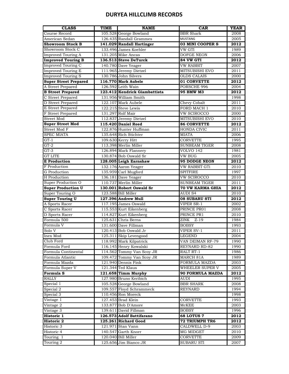#### **DURYEA HILLCLIMB RECORDS**

| <b>CLASS</b>                 | <b>TIME</b> | <b>NAME</b>                   | <b>CAR</b>            | YEAR |
|------------------------------|-------------|-------------------------------|-----------------------|------|
| Course Record                |             | 105.528 George Bowland        | <b>BBR</b> Shark      | 2008 |
| American Sedan               |             | 126.435 Randall Grammes       | <b>MUSTANG</b>        | 2005 |
| <b>Showroom Stock B</b>      |             | 141.029 Randall Hartinger     | 03 MINI COOPER S      | 2012 |
| Showroom Stock C             |             | 133.496 James Koehler         | VW GTI                | 1989 |
| <b>Improved Touring A</b>    |             | 131.205 Mike Ancas            | <b>DOFGE NEON</b>     | 2006 |
| <b>Improved Touring B</b>    |             | 136.513 Steve DeTurck         | 84 VW GTI             | 2012 |
| <b>Improved Touring C</b>    |             | 140.780 Dave Yeager           | VW RABBIT             | 2007 |
| <b>Improved Touring E</b>    |             | 111.965 Jeremy Dietzel        | MITSUBISHI EVO        | 2011 |
| <b>Improved Touring S</b>    |             | 130.786 John Silvers          | <b>OLDS CALAIS</b>    | 2000 |
| <b>Super Street Prepared</b> |             | 116.770 Mark Aubele           | <b>01 CORVETTE</b>    | 2012 |
| A Street Prepared            |             | 126.592 Leith Wain            | PORSCHE 996           | 2004 |
| <b>B</b> Street Prepared     |             | 123.412 Kendrick Giambattista | 95 BMW M3             | 2012 |
| C Street Prepared            |             | 131.956 William Smith         |                       | 1998 |
| D Street Prepared            |             | 122.107 Mark Aubele           | <b>Chevy Cobalt</b>   | 2011 |
| E Street Prepared            |             | 122.215 Steve Lewis           | FORD MACH 1           | 2010 |
| F Street Prepared            |             | 131.297 Rolf Mair             | VW SCIROCCO           | 2000 |
| Street Mod                   |             | 112.837 Jeremy Dietzel        | <b>MITSUBISHI EVO</b> | 2010 |
| <b>Super Street Mod</b>      |             | 115.420 Daniel Reed           | <b>86 CORVETTE</b>    | 2012 |
| Street Mod F                 |             | 122.876 Hunter Huffman        | HONDA CIVIC           | 2011 |
| <b>SPEC MIATA</b>            |             | 135.648 Rich Stichter         | MIATA                 | 2006 |
| $GT-1$                       |             |                               | <b>CORVETTE</b>       | 1995 |
|                              |             | 109.630 Kerry Hitt            |                       |      |
| $GT-2$                       |             | 113.398 Merlin Miller         | <b>SUNBEAM TIGER</b>  | 2008 |
| $GT-3$                       |             | 126.894 Mark Flannery         | VOLVO 142             | 1981 |
| <b>GT LITE</b>               |             | 130.874 Bob Oswald Sr         | <b>VW BUG</b>         | 2005 |
| <b>E</b> Production          |             | 128.005 Leigh Earnshaw        | <b>95 DODGE NEON</b>  | 2012 |
| F Production                 |             | 132.176 Aaron Yeager          | <b>VW RABBIT GTi</b>  | 2010 |
| G Production                 |             | 135.959 Carl Mugford          | <b>SPITFIRE</b>       | 1997 |
| H Production                 |             | 136.181 Dave Yeager           | VW SCIROCCO           | 2010 |
| Super Production O           |             | 110.737 Merlin Miller         | <b>SUNBEAM TIGER</b>  | 2011 |
| <b>Super Production U</b>    |             | 130.001 Robert Oswald Sr      | 70 VW KARMA GHIA      | 2012 |
| Super Touring O              |             | 123.588 Bill Miller           | AUDI S4               | 2010 |
| <b>Super Touring U</b>       |             | 127.396 Andrew Mull           | <b>08 SUBARU STI</b>  | 2012 |
| A Sports Racer               |             | 117.195 James Oswald          | VIPER SR-1            | 2002 |
| C Sports Racer               |             | 115.553 Kurt Eikenberg        | PRINCE PR01           | 2008 |
| D Sports Racer               |             | 114.827 Kurt Eikenberg        | PRINCE PR1            | 2010 |
| Formula 500                  |             | 125.631 Chris Berns           | ZINK<br>Z-19          | 1984 |
| Formula V                    |             | 131.600 Dave Fillman          | <b>BOBSY</b>          | 1993 |
| Solo V                       |             | 120.413 Bob Oswald Jr         | VIPER SV-1            | 2011 |
| Inex Mod                     |             | 125.311 Skip Levengood        | <b>LEGEND</b>         | 2004 |
| Club Ford                    |             | 118.992 Mark Kilpatrick       | VAN DEIMAN RF-79      | 1990 |
| Formula Ford                 |             | 116.145 Henry Kowalski        | REYNARD RD-82         | 1990 |
| Formula Continental          |             | 114.562 Tommy Van Scoy JR     | RALT RT-1             | 1986 |
| Formula Atlantic             |             | 109.472 Tommy Van Scoy JR     | MARCH 81A             | 1989 |
| Formula Mazda                |             | 121.940 Dennis Fink           | FORMULA MAZDA         | 2003 |
| Formula Super V              |             | 121.344 Ted Klaus             | WHEELER SUPER V       | 2005 |
| Formula S                    |             | 121.658 Timm Murphy           | 90 FORMULA MAZDA      | 2012 |
| RALLY                        |             | 127.980 Bruno Keribich        | AUDI                  | 1995 |
| Special 1                    |             | 105.528 George Bowland        | BBR SHARK             | 2008 |
| Special 2                    |             | 109.557 Floyd Schrammeck      | REYNARD               | 1994 |
| Special 3                    |             | 110.456 Ron Moreck            |                       | 1998 |
| Vintage 1                    |             | 127.453 Brad Klein            | CORVETTE              | 1993 |
| Vintage 2                    |             | 133.877 Bob D'Amore           | McKEE                 | 2003 |
| Vintage 3                    |             | 139.611 David Fillman         | <b>BOBSY</b>          | 1996 |
| Historic 1                   |             | 126.573 Adolf Battifarano     | <b>68 LOTUS 7</b>     | 2012 |
| Historic 2                   |             | 125.261 Richard Good          | <b>72 TRIUMPH TR6</b> | 2012 |
| Historic 3                   |             | 121.971 Stan Vann             | CALDWELL D-9          | 2003 |
| Historic 4                   |             | 140.547 Garth Knorr           | MG MIDGET             | 2010 |
| Touring 1                    |             | 120.040 Bill Miller           | CORVETTE              | 2009 |
| Touring 2                    |             | 125.656 Jim Bianco JR         | <b>SUBARU STI</b>     | 2007 |
|                              |             |                               |                       |      |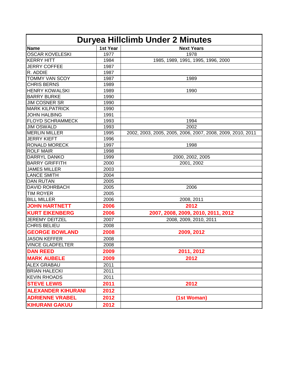| Duryea Hillclimb Under 2 Minutes |          |                                                            |  |  |
|----------------------------------|----------|------------------------------------------------------------|--|--|
| Name                             | 1st Year | <b>Next Years</b>                                          |  |  |
| <b>OSCAR KOVELESKI</b>           | 1977     | 1978                                                       |  |  |
| <b>KERRY HITT</b>                | 1984     | 1985, 1989, 1991, 1995, 1996, 2000                         |  |  |
| JERRY COFFEE                     | 1987     |                                                            |  |  |
| R. ADDIE                         | 1987     |                                                            |  |  |
| <b>TOMMY VAN SCOY</b>            | 1987     | 1989                                                       |  |  |
| <b>CHRIS BERNS</b>               | 1989     |                                                            |  |  |
| <b>HENRY KOWALSKI</b>            | 1989     | 1990                                                       |  |  |
| <b>BARRY BURKE</b>               | 1990     |                                                            |  |  |
| <b>JIM COSNER SR</b>             | 1990     |                                                            |  |  |
| <b>MARK KILPATRICK</b>           | 1990     |                                                            |  |  |
| <b>JOHN HALBING</b>              | 1991     |                                                            |  |  |
| <b>FLOYD SCHRAMMECK</b>          | 1993     | 1994                                                       |  |  |
| <b>JIM OSWALD</b>                | 1993     | 2002                                                       |  |  |
| <b>MERLIN MILLER</b>             | 1995     | 2002, 2003, 2005, 2005, 2006, 2007, 2008, 2009, 2010, 2011 |  |  |
| <b>JERRY KIEFT</b>               | 1996     |                                                            |  |  |
| <b>RONALD MORECK</b>             | 1997     | 1998                                                       |  |  |
| <b>ROLF MAIR</b>                 | 1998     |                                                            |  |  |
| <b>DARRYL DANKO</b>              | 1999     | 2000, 2002, 2005                                           |  |  |
| <b>BARRY GRIFFITH</b>            | 2000     | 2001, 2002                                                 |  |  |
| <b>JAMES MILLER</b>              | 2003     |                                                            |  |  |
| <b>LANCE SMITH</b>               | 2004     |                                                            |  |  |
| <b>DAN RUTAN</b>                 | 2005     |                                                            |  |  |
| <b>DAVID ROHRBACH</b>            | 2005     | 2006                                                       |  |  |
| <b>TIM ROYER</b>                 | 2005     |                                                            |  |  |
| <b>BILL MILLER</b>               | 2006     | 2008, 2011                                                 |  |  |
| <b>JOHN HARTNETT</b>             | 2006     | 2012                                                       |  |  |
| <b>KURT EIKENBERG</b>            | 2006     | 2007, 2008, 2009, 2010, 2011, 2012                         |  |  |
| <b>JEREMY DEITZEL</b>            | 2007     | 2008, 2009, 2010, 2011                                     |  |  |
| <b>CHRIS BELIEU</b>              | 2008     |                                                            |  |  |
| <b>GEORGE BOWLAND</b>            | 2008     | 2009, 2012                                                 |  |  |
| <b>JASON KEFFER</b>              | 2008     |                                                            |  |  |
| <b>VINCE GLADFELTER</b>          | 2008     |                                                            |  |  |
| <b>DAN REED</b>                  | 2009     | 2011, 2012                                                 |  |  |
| <b>MARK AUBELE</b>               | 2009     | 2012                                                       |  |  |
| <b>ALEX GRABAU</b>               | 2011     |                                                            |  |  |
| <b>BRIAN HALECKI</b>             | 2011     |                                                            |  |  |
| <b>KEVIN RHOADS</b>              | 2011     |                                                            |  |  |
| <b>STEVE LEWIS</b>               | 2011     | 2012                                                       |  |  |
| <b>ALEXANDER KIHURANI</b>        | 2012     |                                                            |  |  |
| <b>ADRIENNE VRABEL</b>           | 2012     | (1st Woman)                                                |  |  |
| <b>KIHURANI GAKUU</b>            | 2012     |                                                            |  |  |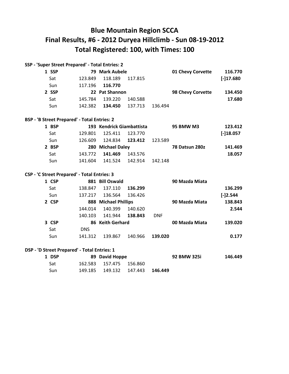### **Blue Mountain Region SCCA Final Results, #6 - 2012 Duryea Hillclimb - Sun 08-19-2012 Total Registered: 100, with Times: 100**

| SSP - 'Super Street Prepared' - Total Entries: 2 |         |                                  |                   |             |
|--------------------------------------------------|---------|----------------------------------|-------------------|-------------|
|                                                  |         |                                  | 01 Chevy Corvette | 116.770     |
| 118.189<br>123.849                               | 117.815 |                                  |                   | $[-]17.680$ |
| 117.196<br>116.770                               |         |                                  |                   |             |
|                                                  |         |                                  | 98 Chevy Corvette | 134.450     |
| 139.220<br>145.784                               | 140.588 |                                  |                   | 17.680      |
| 142.382<br>134.450                               | 137.713 | 136.494                          |                   |             |
|                                                  |         | 79 Mark Aubele<br>22 Pat Shannon |                   |             |

#### **BSP - 'B Street Prepared' - Total Entries: 2**

| 1 BSP |         | 193 Kendrick Giambattista |         |         | <b>95 BMW M3</b> | 123.412     |
|-------|---------|---------------------------|---------|---------|------------------|-------------|
| Sat   | 129.801 | 125.411                   | 123.770 |         |                  | $[-]18.057$ |
| Sun   | 126.609 | 124.834                   | 123.412 | 123.589 |                  |             |
| 2 BSP |         | 280 Michael Daley         |         |         | 78 Datsun 280z   | 141.469     |
| Sat   | 143.772 | 141.469                   | 143.576 |         |                  | 18.057      |
| Sun   | 141.604 | 141.524                   | 142.914 | 142.148 |                  |             |

#### **CSP - 'C Street Prepared' - Total Entries: 3**

| 1 CSP |            | 881 Bill Oswald      |         |            | 90 Mazda Miata |            |
|-------|------------|----------------------|---------|------------|----------------|------------|
| Sat   | 138.847    | 137.110              | 136.299 |            |                | 136.299    |
| Sun   | 137.217    | 136.564              | 136.426 |            |                | $[-]2.544$ |
| 2 CSP |            | 888 Michael Phillips |         |            | 90 Mazda Miata | 138.843    |
|       | 144.014    | 140.399              | 140.620 |            |                | 2.544      |
|       | 140.103    | 141.944              | 138.843 | <b>DNF</b> |                |            |
| 3 CSP |            | 86 Keith Gerhard     |         |            | 00 Mazda Miata | 139.020    |
| Sat   | <b>DNS</b> |                      |         |            |                |            |
| Sun   | 141.312    | 139.867              | 140.966 | 139.020    |                | 0.177      |

#### **DSP - 'D Street Prepared' - Total Entries: 1**

| 1 DSP | 89 David Hoppe          |                                 | 92 BMW 325i | 146.449 |
|-------|-------------------------|---------------------------------|-------------|---------|
| Sat   | 162.583 157.475 156.860 |                                 |             |         |
| Sun   |                         | 149.185 149.132 147.443 146.449 |             |         |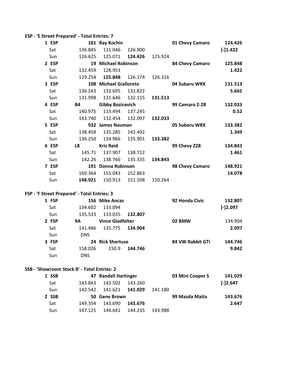| ESP - 'E Street Prepared' - Total Entries: 7 |  |
|----------------------------------------------|--|
|----------------------------------------------|--|

| 1 ESP |           | 101 Ray Kochin            |         |         | 01 Chevy Camaro     | 124.426    |
|-------|-----------|---------------------------|---------|---------|---------------------|------------|
| Sat   | 136.845   | 131.046                   | 126.900 |         |                     | $[-]1.422$ |
| Sun   | 126.625   | 125.071                   | 124.426 | 125.924 |                     |            |
| 2 ESP |           | 19 Michael Robinson       |         |         | 84 Chevy Camaro     | 125.848    |
| Sat   | 132.459   | 128.953                   |         |         |                     | 1.422      |
| Sun   | 129.254   | 125.848                   | 126.174 | 126.316 |                     |            |
| 3 ESP | 108       | <b>Michael Gialloreto</b> |         |         | 04 Subaru WRX       | 131.513    |
| Sat   | 136.243   | 132.695                   | 131.822 |         |                     | 5.665      |
| Sun   | 131.998   | 131.646                   | 132.115 | 131.513 |                     |            |
| 4 ESP | <b>B4</b> | <b>Gibby Bozicevich</b>   |         |         | 99 Camaro Z-28      | 132.033    |
| Sat   | 140.975   | 133.494                   | 137.245 |         |                     | 0.52       |
| Sun   | 143.740   | 132.454                   | 132.097 | 132.033 |                     |            |
| 5 ESP | 932       | <b>James Nauman</b>       |         |         | 05 Subaru WRX       | 133.382    |
| Sat   | 138.458   | 135.285                   | 142.492 |         |                     | 1.349      |
| Sun   | 136.250   | 134.966                   | 135.901 | 133.382 |                     |            |
| 6 ESP | L8        | <b>Kris Reid</b>          |         |         | <b>99 Chevy Z28</b> | 134.843    |
| Sat   | 145.71    | 137.907                   | 138.712 |         |                     | 1.461      |
| Sun   | 142.26    | 138.766                   | 135.335 | 134.843 |                     |            |
| 7 ESP | 191       | Donna Robinson            |         |         | 98 Chevy Camaro     | 148.921    |
| Sat   | 169.364   | 155.043                   | 152.863 |         |                     | 14.078     |
| Sun   | 148.921   | 150.913                   | 151.508 | 150.264 |                     |            |

#### **FSP - 'F Street Prepared' - Total Entries: 3**

| 1 FSP |            | 156 Mike Ancas          |         | 92 Honda Civic   | 132.807    |
|-------|------------|-------------------------|---------|------------------|------------|
| Sat   | 134.602    | 133.094                 |         |                  | $[-]2.097$ |
| Sun   | 135.533    | 133.035                 | 132.807 |                  |            |
| 2 FSP | 9Α         | <b>Vince Gladfelter</b> |         | 02 BMW           | 134.904    |
| Sat   | 141.486    | 135.775                 | 134.904 |                  | 2.097      |
| Sun   | <b>DNS</b> |                         |         |                  |            |
| 3 FSP |            | 24 Rick Shortuse        |         | 84 VW Rabbit GTi | 144.746    |
| Sat   | 158.026    | 150.9                   | 144.746 |                  | 9.842      |
| Sun   | <b>DNS</b> |                         |         |                  |            |

#### **SSB - 'Showroom Stock B' - Total Entries: 2**

| 1 SSB      | 47 Randall Hartinger |         | 03 Mini Cooper S | 141.029    |
|------------|----------------------|---------|------------------|------------|
| Sat        | 142.502<br>143.843   | 143.260 |                  | $[-]2.647$ |
| <b>Sun</b> | 141.621<br>142.542   | 141.029 | 141.180          |            |
| 2 SSB      | 50 Gene Brown        |         | 99 Mazda Maita   | 143.676    |
| Sat        | 143.690<br>149.354   | 143.676 |                  | 2.647      |
| Sun        | 144.641<br>147.125   | 144.235 | 143.988          |            |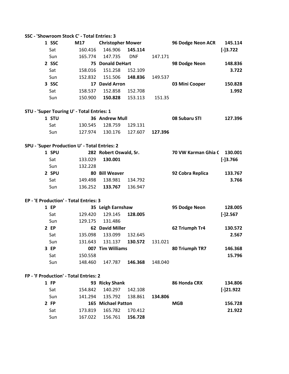#### **SSC - 'Showroom Stock C' - Total Entries: 3**

| 1 SSC | M17     | <b>Christopher Mower</b> |            |         | 96 Dodge Neon ACR | 145.114    |
|-------|---------|--------------------------|------------|---------|-------------------|------------|
| Sat   | 160.416 | 146.906                  | 145.114    |         |                   | $[-]3.722$ |
| Sun   | 165.774 | 147.735                  | <b>DNF</b> | 147.171 |                   |            |
| 2 SSC |         | <b>75 Donald DeHart</b>  |            |         | 98 Dodge Neon     | 148.836    |
| Sat   | 158.016 | 151.258                  | 152.109    |         |                   | 3.722      |
| Sun   | 152.832 | 151.506                  | 148.836    | 149.537 |                   |            |
| 3 SSC | 17      | <b>David Arron</b>       |            |         | 03 Mini Cooper    | 150.828    |
| Sat   | 158.537 | 152.858                  | 152.708    |         |                   | 1.992      |
| Sun   | 150.900 | 150.828                  | 153.113    | 151.35  |                   |            |

#### **STU - 'Super Touring U' - Total Entries: 1**

| 1 STU | 36 Andrew Mull          |                                 | 08 Subaru STI | 127.396 |
|-------|-------------------------|---------------------------------|---------------|---------|
| Sat   | 130.545 128.759 129.131 |                                 |               |         |
| Sun   |                         | 127.974 130.176 127.607 127.396 |               |         |

#### **SPU - 'Super Production U' - Total Entries: 2**

| 1 SPU      | 282 Robert Oswald, Sr. |         | 70 VW Karman Ghia C | 130.001    |
|------------|------------------------|---------|---------------------|------------|
| Sat        | 133.029<br>130.001     |         |                     | $[-]3.766$ |
| <b>Sun</b> | 132.228                |         |                     |            |
| 2 SPU      | 80 Bill Weaver         |         | 92 Cobra Replica    | 133.767    |
| Sat        | 138.981<br>149.498     | 134.792 |                     | 3.766      |
| Sun        | 133.767<br>136.252     | 136.947 |                     |            |

#### **EP - 'E Production' - Total Entries: 3**

| 1 EP |         | 35 Leigh Earnshaw   |         |         | 95 Dodge Neon  | 128.005    |
|------|---------|---------------------|---------|---------|----------------|------------|
| Sat  | 129.420 | 129.145             | 128.005 |         |                | $[-]2.567$ |
| Sun  | 129.175 | 131.486             |         |         |                |            |
| 2 EP | 62      | <b>David Miller</b> |         |         | 62 Triumph Tr4 | 130.572    |
| Sat  | 135.098 | 133.099             | 132.645 |         |                | 2.567      |
| Sun  | 131.643 | 131.137             | 130.572 | 131.021 |                |            |
| 3 EP | 007     | <b>Tim Williams</b> |         |         | 80 Triumph TR7 | 146.368    |
| Sat  | 150.558 |                     |         |         |                | 15.796     |
| Sun  | 148.460 | 147.787             | 146.368 | 148.040 |                |            |

#### **FP - 'F Production' - Total Entries: 2**

| 1 FP |         | 93 Ricky Shank     |         |         | 86 Honda CRX | 134.806     |
|------|---------|--------------------|---------|---------|--------------|-------------|
| Sat  | 154.842 | 140.297            | 142.108 |         |              | $[-]21.922$ |
| Sun  | 141.294 | 135.792            | 138.861 | 134.806 |              |             |
| 2 FP |         | 165 Michael Patton |         |         | <b>MGB</b>   | 156.728     |
| Sat  | 173.819 | 165.782            | 170.412 |         |              | 21.922      |
| Sun  | 167.022 | 156.761            | 156.728 |         |              |             |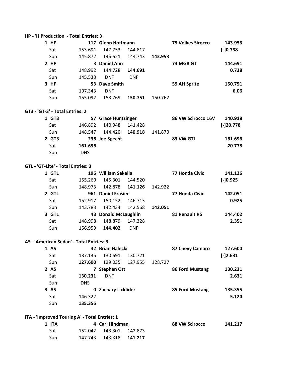#### **HP - 'H Production' - Total Entries: 3**

| <b>HP</b> |         | 117 Glenn Hoffmann |            |         | <b>75 Volkes Sirocco</b> | 143.953     |
|-----------|---------|--------------------|------------|---------|--------------------------|-------------|
| Sat       | 153.691 | 147.753            | 144.817    |         |                          | $[-]0.738]$ |
| Sun       | 145.872 | 145.621            | 144.743    | 143.953 |                          |             |
| $2$ HP    |         | 3 Daniel Ahn       |            |         | 74 MGB GT                | 144.691     |
| Sat       | 148.992 | 144.728            | 144.691    |         |                          | 0.738       |
| Sun       | 145.530 | <b>DNF</b>         | <b>DNF</b> |         |                          |             |
| 3 HP      |         | 53 Dave Smith      |            |         | 59 AH Sprite             | 150.751     |
| Sat       | 197.343 | <b>DNF</b>         |            |         |                          | 6.06        |
| Sun       | 155.092 | 153.769            | 150.751    | 150.762 |                          |             |

#### **GT3 - 'GT-3' - Total Entries: 2**

| 1 GT3 | 57 Grace Huntzinger           | 86 VW Scirocco 16V | 140.918      |
|-------|-------------------------------|--------------------|--------------|
| Sat   | 140.948<br>141.428<br>146.892 |                    | $[-]20.778]$ |
| Sun   | 144.420<br>140.918<br>148.547 | 141.870            |              |
| 2 GT3 | 236 Joe Specht                | 83 VW GTI          | 161.696      |
| Sat   | 161.696                       |                    | 20.778       |
| Sun   | DNS.                          |                    |              |

#### **GTL - 'GT-Lite' - Total Entries: 3**

| 1 GTL |         | 196 William Sekella  |            |         | 77 Honda Civic | 141.126    |
|-------|---------|----------------------|------------|---------|----------------|------------|
| Sat   | 155.260 | 145.301              | 144.520    |         |                | $[-]0.925$ |
| Sun   | 148.973 | 142.878              | 141.126    | 142.922 |                |            |
| 2 GTL |         | 961 Daniel Frasier   |            |         | 77 Honda Civic | 142.051    |
| Sat   | 152.917 | 150.152              | 146.713    |         |                | 0.925      |
| Sun   | 143.783 | 142.434              | 142.568    | 142.051 |                |            |
| 3 GTL |         | 43 Donald McLaughlin |            |         | 81 Renault R5  | 144.402    |
| Sat   | 148.998 | 148.879              | 147.328    |         |                | 2.351      |
| Sun   | 156.959 | 144.402              | <b>DNF</b> |         |                |            |

#### **AS - 'American Sedan' - Total Entries: 3**

| 1 AS |            | 42 Brian Halecki    |         |         | 87 Chevy Camaro | 127.600    |
|------|------------|---------------------|---------|---------|-----------------|------------|
| Sat  | 137.135    | 130.691             | 130.721 |         |                 | $[-]2.631$ |
| Sun  | 127.600    | 129.035             | 127.955 | 128.727 |                 |            |
| 2 AS |            | <b>Stephen Ott</b>  |         |         | 86 Ford Mustang | 130.231    |
| Sat  | 130.231    | <b>DNF</b>          |         |         |                 | 2.631      |
| Sun  | <b>DNS</b> |                     |         |         |                 |            |
| 3 AS |            | 0 Zachary Licklider |         |         | 85 Ford Mustang | 135.355    |
| Sat  | 146.322    |                     |         |         |                 | 5.124      |
| Sun  | 135.355    |                     |         |         |                 |            |

#### **ITA - 'Improved Touring A' - Total Entries: 1**

| 1 ITA | 4 Carl Hindman            | 88 VW Scirocco | 141.217 |
|-------|---------------------------|----------------|---------|
| Sat   | 152.042  143.301  142.873 |                |         |
| Sun   | 147.743 143.318 141.217   |                |         |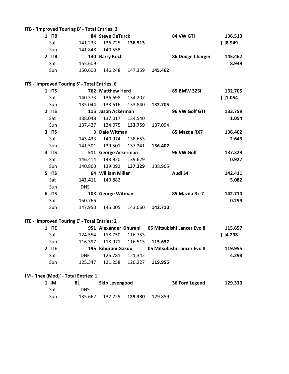| ITB - 'Improved Touring B' - Total Entries: 2 |            |                        |         |         |                            |            |
|-----------------------------------------------|------------|------------------------|---------|---------|----------------------------|------------|
| 1 ITB                                         |            | 84 Steve DeTurck       |         |         | 84 VW GTI                  | 136.513    |
| Sat                                           | 141.233    | 136.725                | 136.513 |         |                            | $[-]8.949$ |
| Sun                                           | 141.848    | 140.558                |         |         |                            |            |
| 2 ITB                                         |            | 130 Barry Koch         |         |         | 86 Dodge Charger           | 145.462    |
| Sat                                           | 155.609    |                        |         |         |                            | 8.949      |
| Sun                                           | 150.600    | 146.248                | 147.359 | 145.462 |                            |            |
| ITS - 'Improved Touring S' - Total Entries: 6 |            |                        |         |         |                            |            |
| 1 ITS                                         |            | 762 Matthew Herd       |         |         | 89 BMW 325i                | 132.705    |
| Sat                                           | 140.373    | 136.698                | 134.207 |         |                            | $[-]1.054$ |
| Sun                                           | 135.044    | 133.616                | 133.840 | 132.705 |                            |            |
| 2 ITS                                         |            | 115 Jason Ackerman     |         |         | 96 VW Golf GTI             | 133.759    |
| Sat                                           | 138.048    | 137.017                | 134.540 |         |                            | 1.054      |
| Sun                                           |            | 137.427 134.075        | 133.759 | 137.094 |                            |            |
| 3 ITS                                         |            | 3 Dale Witman          |         |         | 85 Mazda RX7               | 136.402    |
| Sat                                           | 143.433    | 140.974                | 138.653 |         |                            | 2.643      |
| Sun                                           | 141.501    | 139.501                | 137.241 | 136.402 |                            |            |
| 4 ITS                                         |            | 511 George Ackerman    |         |         | 96 VW Golf                 | 137.329    |
| Sat                                           | 146.414    | 143.920                | 139.629 |         |                            | 0.927      |
| Sun                                           | 140.860    | 139.092                | 137.329 | 138.965 |                            |            |
| 5 ITS                                         |            | 64 William Miller      |         |         | Audi S4                    | 142.411    |
| Sat                                           | 142.411    | 149.882                |         |         |                            | 5.082      |
| Sun                                           | <b>DNS</b> |                        |         |         |                            |            |
| 6 ITS                                         |            | 103 George Witman      |         |         | 85 Mazda Rx-7              | 142.710    |
| Sat                                           | 150.766    |                        |         |         |                            | 0.299      |
| Sun                                           | 147.950    | 145.005                | 143.060 | 142.710 |                            |            |
| ITE - 'Improved Touring E' - Total Entries: 2 |            |                        |         |         |                            |            |
| 1 ITE                                         |            | 951 Alexander Kihurani |         |         | 05 Mitsubishi Lancer Evo 8 | 115.657    |
| Sat                                           | 124.554    | 118.750                | 116.753 |         |                            | $[-]4.298$ |
| Sun                                           | 116.397    | 118.971                | 116.513 | 115.657 |                            |            |
| 2 ITE                                         |            | 195 Kihurani Gakuu     |         |         | 05 Mitsubishi Lancer Evo 8 | 119.955    |
| Sat                                           | <b>DNF</b> | 126.781                | 121.342 |         |                            | 4.298      |
| Sun                                           | 125.347    | 121.258                | 120.227 | 119.955 |                            |            |

#### **IM - 'Inex (Mod)' - Total Entries: 1**

| $1 \,$ IM | 8L      | Skip Levengood  | 36 Ford Legend | 129.330 |
|-----------|---------|-----------------|----------------|---------|
| Sat       | DNS     |                 |                |         |
| Sun       | 135.662 | 132.225 129.330 | 129.859        |         |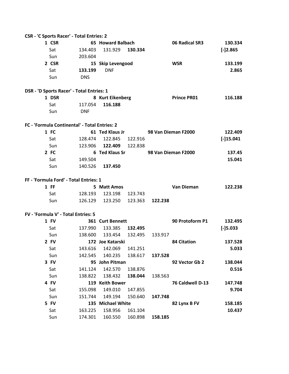| CSR - 'C Sports Racer' - Total Entries: 2     |            |                   |         |         |                     |             |
|-----------------------------------------------|------------|-------------------|---------|---------|---------------------|-------------|
| 1 CSR                                         |            | 65 Howard Balbach |         |         | 06 Radical SR3      | 130.334     |
| Sat                                           | 134.403    | 131.929           | 130.334 |         |                     | $[-]2.865$  |
| Sun                                           | 203.604    |                   |         |         |                     |             |
| 2 CSR                                         |            | 15 Skip Levengood |         |         | <b>WSR</b>          | 133.199     |
| Sat                                           | 133.199    | <b>DNF</b>        |         |         |                     | 2.865       |
| Sun                                           | <b>DNS</b> |                   |         |         |                     |             |
| DSR - 'D Sports Racer' - Total Entries: 1     |            |                   |         |         |                     |             |
| 1 DSR                                         |            | 8 Kurt Eikenberg  |         |         | <b>Prince PR01</b>  | 116.188     |
| Sat                                           | 117.054    | 116.188           |         |         |                     |             |
| Sun                                           | <b>DNF</b> |                   |         |         |                     |             |
| FC - 'Formula Continental' - Total Entries: 2 |            |                   |         |         |                     |             |
| 1 FC                                          |            | 61 Ted Klaus Jr   |         |         | 98 Van Dieman F2000 | 122.409     |
| Sat                                           | 128.474    | 122.845           | 122.916 |         |                     | $[-]15.041$ |
| Sun                                           | 123.906    | 122.409           | 122.838 |         |                     |             |
| 2 FC                                          |            | 6 Ted Klaus Sr    |         |         | 98 Van Dieman F2000 | 137.45      |
| Sat                                           | 149.504    |                   |         |         |                     | 15.041      |
| Sun                                           | 140.526    | 137.450           |         |         |                     |             |
| FF - 'Formula Ford' - Total Entries: 1        |            |                   |         |         |                     |             |
| $1$ FF                                        |            | 5 Matt Amos       |         |         | Van Dieman          | 122.238     |
| Sat                                           | 128.193    | 123.198           | 123.743 |         |                     |             |
| Sun                                           | 126.129    | 123.250           | 123.363 | 122.238 |                     |             |
|                                               |            |                   |         |         |                     |             |
| FV - 'Formula V' - Total Entries: 5           |            |                   |         |         |                     |             |
| 1 FV                                          |            | 361 Curt Bennett  |         |         | 90 Protoform P1     | 132.495     |
| Sat                                           | 137.990    | 133.385           | 132.495 |         |                     | $[-]5.033$  |
| Sun                                           | 138.600    | 133.454           | 132.495 | 133.917 |                     |             |
| 2 FV                                          |            | 172 Joe Katarski  |         |         | <b>84 Citation</b>  | 137.528     |
| Sat                                           | 143.616    | 142.069           | 141.251 |         |                     | 5.033       |
| Sun                                           | 142.545    | 140.235           | 138.617 | 137.528 |                     |             |
| 3 FV                                          |            | 95 John Pitman    |         |         | 92 Vector Gb 2      | 138.044     |
| Sat                                           | 141.124    | 142.570           | 138.876 |         |                     | 0.516       |
| Sun                                           | 138.822    | 138.432           | 138.044 | 138.563 |                     |             |
| 4 FV                                          |            | 119 Keith Bower   |         |         | 76 Caldwell D-13    | 147.748     |
| Sat                                           | 155.098    | 149.010           | 147.855 |         |                     | 9.704       |
| Sun                                           | 151.744    | 149.194           | 150.640 | 147.748 |                     |             |
| 5 FV                                          |            | 135 Michael White |         |         | 82 Lynx B FV        | 158.185     |
| Sat                                           | 163.225    | 158.956           | 161.104 |         |                     | 10.437      |
| Sun                                           | 174.301    | 160.550           | 160.898 | 158.185 |                     |             |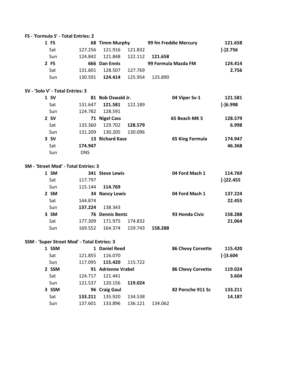| FS - 'Formula S' - Total Entries: 2 |         |                |         |                       |            |
|-------------------------------------|---------|----------------|---------|-----------------------|------------|
| 1 FS                                |         | 68 Timm Murphy |         | 99 fm Freddie Mercury | 121.658    |
| Sat                                 | 127.256 | 121.916        | 121.832 |                       | $[-]2.756$ |
| Sun                                 | 124.842 | 121.848        | 122.112 | 121.658               |            |
| 2 FS                                |         | 666 Dan Ennis  |         | 99 Formula Mazda FM   | 124.414    |
| Sat                                 | 131.601 | 128.507        | 127.769 |                       | 2.756      |
| Sun                                 | 130.591 | 124.414        | 125.954 | 125.890               |            |

#### **SV - 'Solo V' - Total Entries: 3**

| 1 SV |            | 81 Bob Oswald Jr. |         | 04 Viper Sv-1   | 121.581     |
|------|------------|-------------------|---------|-----------------|-------------|
| Sat  | 131.647    | 121.581           | 122.189 |                 | $[-16.998]$ |
| Sun  | 124.782    | 128.591           |         |                 |             |
| 2 SV |            | 71 Nigel Cass     |         | 65 Beach MK 5   | 128.579     |
| Sat  | 133.360    | 129.702           | 128.579 |                 | 6.998       |
| Sun  | 131.209    | 130.205           | 130.096 |                 |             |
| 3 SV |            | 13 Richard Kase   |         | 65 King Formula | 174.947     |
| Sat  | 174.947    |                   |         |                 | 46.368      |
| Sun  | <b>DNS</b> |                   |         |                 |             |

#### **SM - 'Street Mod' - Total Entries: 3**

| 1 SM |         | <b>341 Steve Lewis</b> |         |         | 04 Ford Mach 1 | 114.769     |
|------|---------|------------------------|---------|---------|----------------|-------------|
| Sat  | 117.797 |                        |         |         |                | $[-]22.455$ |
| Sun  | 115.144 | 114.769                |         |         |                |             |
| 2 SM |         | <b>34 Nancy Lewis</b>  |         |         | 04 Ford Mach 1 | 137.224     |
| Sat  | 144.874 |                        |         |         |                | 22.455      |
| Sun  | 137.224 | 138.343                |         |         |                |             |
| 3 SM |         | <b>76 Dennis Bentz</b> |         |         | 93 Honda Civic | 158.288     |
| Sat  | 177.309 | 171.975                | 174.832 |         |                | 21.064      |
| Sun  | 169.552 | 164.374                | 159.743 | 158.288 |                |             |

#### **SSM - 'Super Street Mod' - Total Entries: 3**

| 1 SSM |         | <b>Daniel Reed</b> |         |         | <b>86 Chevy Corvette</b> | 115.420    |
|-------|---------|--------------------|---------|---------|--------------------------|------------|
| Sat   | 121.855 | 116.070            |         |         |                          | $[-]3.604$ |
| Sun   | 117.095 | 115.420            | 115.722 |         |                          |            |
| 2 SSM |         | 91 Adrienne Vrabel |         |         | <b>86 Chevy Corvette</b> | 119.024    |
| Sat   | 124.717 | 121.441            |         |         |                          | 3.604      |
| Sun   | 121.537 | 120.156            | 119.024 |         |                          |            |
| 3 SSM |         | 96 Craig Gaul      |         |         | 82 Porsche 911 Sc        | 133.211    |
| Sat   | 133.211 | 135.920            | 134.538 |         |                          | 14.187     |
| Sun   | 137.601 | 133.896            | 136.121 | 134.062 |                          |            |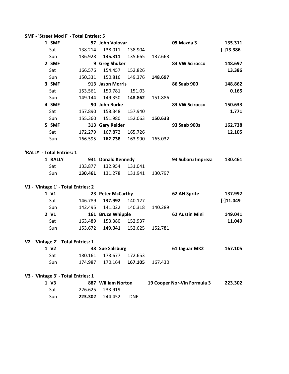| SMF - 'Street Mod F' - Total Entries: 5 |         |                    |            |         |                             |             |  |
|-----------------------------------------|---------|--------------------|------------|---------|-----------------------------|-------------|--|
| 1 SMF                                   |         | 57 John Volovar    |            |         | 05 Mazda 3                  | 135.311     |  |
| Sat                                     | 138.214 | 138.011            | 138.904    |         |                             | $[-]13.386$ |  |
| Sun                                     | 136.928 | 135.311            | 135.665    | 137.663 |                             |             |  |
| 2 SMF                                   |         | 9 Greg Shuker      |            |         | 83 VW Scirocco              | 148.697     |  |
| Sat                                     | 166.576 | 154.457            | 152.826    |         |                             | 13.386      |  |
| Sun                                     | 150.331 | 150.816            | 149.376    | 148.697 |                             |             |  |
| 3 SMF                                   |         | 913 Jason Morris   |            |         | 86 Saab 900                 | 148.862     |  |
| Sat                                     | 153.561 | 150.781            | 151.03     |         |                             | 0.165       |  |
| Sun                                     | 149.144 | 149.350            | 148.862    | 151.886 |                             |             |  |
| 4 SMF                                   |         | 90 John Burke      |            |         | 83 VW Scirocco              | 150.633     |  |
| Sat                                     | 157.890 | 158.348            | 157.940    |         |                             | 1.771       |  |
| Sun                                     | 155.360 | 151.980            | 152.063    | 150.633 |                             |             |  |
| 5 SMF                                   |         | 313 Gary Reider    |            |         | 93 Saab 900s                | 162.738     |  |
| Sat                                     | 172.279 | 167.872            | 165.726    |         |                             | 12.105      |  |
| Sun                                     | 166.595 | 162.738            | 163.990    | 165.032 |                             |             |  |
|                                         |         |                    |            |         |                             |             |  |
| 'RALLY' - Total Entries: 1              |         |                    |            |         |                             |             |  |
| 1 RALLY                                 |         | 931 Donald Kennedy |            |         | 93 Subaru Impreza           | 130.461     |  |
| Sat                                     | 133.877 | 132.954            | 131.041    |         |                             |             |  |
| Sun                                     | 130.461 | 131.278            | 131.941    | 130.797 |                             |             |  |
| V1 - 'Vintage 1' - Total Entries: 2     |         |                    |            |         |                             |             |  |
| 1 V1                                    |         | 23 Peter McCarthy  |            |         | 62 AH Sprite                | 137.992     |  |
| Sat                                     | 146.789 | 137.992            | 140.127    |         |                             | $[-]11.049$ |  |
| Sun                                     | 142.495 | 141.022            | 140.318    | 140.289 |                             |             |  |
| 2 V1                                    |         | 161 Bruce Whipple  |            |         | 62 Austin Mini              | 149.041     |  |
| Sat                                     | 163.489 | 153.380            | 152.937    |         |                             | 11.049      |  |
| Sun                                     | 153.672 | 149.041            | 152.625    | 152.781 |                             |             |  |
|                                         |         |                    |            |         |                             |             |  |
| V2 - 'Vintage 2' - Total Entries: 1     |         |                    |            |         |                             |             |  |
| 1 V <sub>2</sub>                        |         | 38 Sue Salsburg    |            |         | 61 Jaguar MK2               | 167.105     |  |
| Sat                                     | 180.161 | 173.677            | 172.653    |         |                             |             |  |
| Sun                                     | 174.987 | 170.164            | 167.105    | 167.430 |                             |             |  |
| V3 - 'Vintage 3' - Total Entries: 1     |         |                    |            |         |                             |             |  |
| 1 V3                                    |         | 887 William Norton |            |         | 19 Cooper Nor-Vin Formula 3 | 223.302     |  |
| Sat                                     | 226.625 | 233.919            |            |         |                             |             |  |
| Sun                                     | 223.302 | 244.452            | <b>DNF</b> |         |                             |             |  |
|                                         |         |                    |            |         |                             |             |  |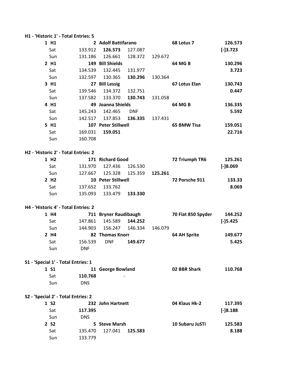|                                     | H1 - 'Historic 1' - Total Entries: 5 |                       |            |         |                    |             |
|-------------------------------------|--------------------------------------|-----------------------|------------|---------|--------------------|-------------|
| 1 H1                                |                                      | 2 Adolf Battifarano   |            |         | 68 Lotus 7         | 126.573     |
| Sat                                 | 133.912                              | 126.573               | 127.087    |         |                    | $[-]3.723$  |
| Sun                                 | 131.186                              | 126.661               | 128.372    | 129.672 |                    |             |
| 2 H1                                |                                      | 149 Bill Shields      |            |         | 64 MG B            | 130.296     |
| Sat                                 | 134.539                              | 132.445               | 131.977    |         |                    | 3.723       |
| Sun                                 | 132.597                              | 130.365               | 130.296    | 130.364 |                    |             |
| 3 H1                                |                                      | 27 Bill Lessig        |            |         | 67 Lotus Elan      | 130.743     |
| Sat                                 | 139.546                              | 134.372               | 132.751    |         |                    | 0.447       |
| Sun                                 | 137.582                              | 133.370               | 130.743    | 131.058 |                    |             |
| 4 H1                                |                                      | 49 Joanna Shields     |            |         | 64 MG B            | 136.335     |
| Sat                                 | 145.243                              | 142.465               | <b>DNF</b> |         |                    | 5.592       |
| Sun                                 | 142.517                              | 137.853               | 136.335    | 137.431 |                    |             |
| 5 H1                                |                                      | 107 Peter Stillwell   |            |         | 65 BMW Tisa        | 159.051     |
| Sat                                 | 169.031                              | 159.051               |            |         |                    | 22.716      |
| Sun                                 | 160.708                              |                       |            |         |                    |             |
|                                     |                                      |                       |            |         |                    |             |
|                                     | H2 - 'Historic 2' - Total Entries: 2 |                       |            |         |                    |             |
| 1 H <sub>2</sub>                    |                                      | 171 Richard Good      |            |         | 72 Triumph TR6     | 125.261     |
| Sat                                 | 131.970                              | 127.436               | 126.530    |         |                    | $[-]8.069$  |
| Sun                                 | 127.667                              | 125.328               | 125.359    | 125.261 |                    |             |
| 2 H <sub>2</sub>                    |                                      | 10 Peter Stillwell    |            |         | 72 Porsche 911     | 133.33      |
| Sat                                 | 137.652                              | 133.762               |            |         |                    | 8.069       |
| Sun                                 | 135.093                              | 133.479               | 133.330    |         |                    |             |
|                                     |                                      |                       |            |         |                    |             |
|                                     | H4 - 'Historic 4' - Total Entries: 2 |                       |            |         |                    |             |
| 1 H4                                |                                      | 711 Bryner Raudibaugh |            |         | 70 Fiat 850 Spyder | 144.252     |
| Sat                                 | 147.861                              | 145.589               | 144.252    |         |                    | $[-]$ 5.425 |
| Sun                                 | 144.903                              | 156.247               | 146.334    | 146.079 |                    |             |
| 2 H4                                |                                      | 82 Thomas Knorr       |            |         | 64 AH Sprite       | 149.677     |
| Sat                                 | 156.539                              | <b>DNF</b>            | 149.677    |         |                    | 5.425       |
| Sun                                 | <b>DNF</b>                           |                       |            |         |                    |             |
|                                     |                                      |                       |            |         |                    |             |
| S1 - 'Special 1' - Total Entries: 1 |                                      |                       |            |         |                    |             |
| 1 S1                                |                                      | 11 George Bowland     |            |         | 02 BBR Shark       | 110.768     |
| Sat                                 | 110.768                              |                       |            |         |                    |             |
| Sun                                 | <b>DNS</b>                           |                       |            |         |                    |             |
|                                     |                                      |                       |            |         |                    |             |
| S2 - 'Special 2' - Total Entries: 2 |                                      |                       |            |         |                    |             |
| 1 S <sub>2</sub>                    |                                      | 232 John Hartnett     |            |         | 04 Klaus Hk-2      | 117.395     |
| Sat                                 | 117.395                              |                       |            |         |                    | $[-]8.188$  |
| Sun                                 | <b>DNS</b>                           |                       |            |         |                    |             |
| 2 S <sub>2</sub>                    |                                      | 5 Steve Marsh         |            |         | 10 Subaru JuSTi    | 125.583     |
| Sat                                 | 135.470                              | 127.041               | 125.583    |         |                    | 8.188       |
| Sun                                 | 133.779                              |                       |            |         |                    |             |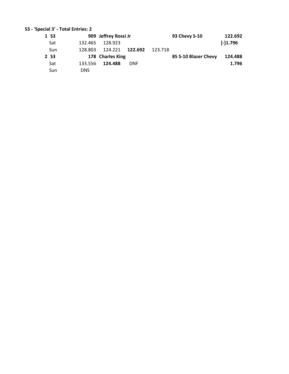#### **S3 - 'Special 3' - Total Entries: 2**

| 1 S <sub>3</sub> |            | 909 Jeffrey Rossi Jr |            | 93 Chevy S-10        | 122.692    |
|------------------|------------|----------------------|------------|----------------------|------------|
| Sat              | 132.465    | 128.923              |            |                      | $[-]1.796$ |
| Sun              | 128.803    | 124.221              | 122.692    | 123.718              |            |
| 2 S <sub>3</sub> |            | 178 Charles King     |            | 85 S-10 Blazer Chevy | 124.488    |
| Sat              | 133.556    | 124.488              | <b>DNF</b> |                      | 1.796      |
| Sun              | <b>DNS</b> |                      |            |                      |            |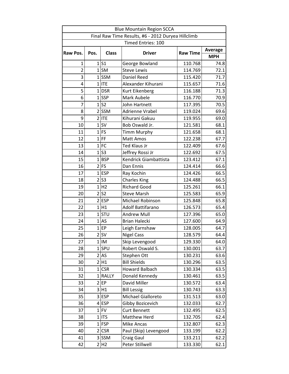| <b>Blue Mountain Region SCCA</b>                                     |                |                |                           |                |            |  |  |
|----------------------------------------------------------------------|----------------|----------------|---------------------------|----------------|------------|--|--|
| Final Raw Time Results, #6 - 2012 Duryea Hillclimb                   |                |                |                           |                |            |  |  |
|                                                                      |                |                | <b>Timed Entries: 100</b> |                |            |  |  |
| <b>Class</b><br><b>Raw Time</b><br>Raw Pos.<br>Pos.<br><b>Driver</b> |                |                |                           | <b>Average</b> |            |  |  |
|                                                                      |                |                |                           |                | <b>MPH</b> |  |  |
| 1                                                                    |                | 1 S1           | George Bowland            | 110.768        | 74.8       |  |  |
| $\overline{2}$                                                       |                | $1$ SM         | <b>Steve Lewis</b>        | 114.769        | 72.1       |  |  |
| 3                                                                    |                | $1$ SSM        | Daniel Reed               | 115.420        | 71.7       |  |  |
| 4                                                                    |                | $1$ ITE        | Alexander Kihurani        | 115.657        | 71.6       |  |  |
| 5                                                                    | $\mathbf{1}$   | <b>DSR</b>     | Kurt Eikenberg            | 116.188        | 71.3       |  |  |
| 6                                                                    |                | $1$ SSP        | Mark Aubele               | 116.770        | 70.9       |  |  |
| $\overline{7}$                                                       | $1\vert$       | S <sub>2</sub> | John Hartnett             | 117.395        | 70.5       |  |  |
| 8                                                                    |                | $2$ SSM        | Adrienne Vrabel           | 119.024        | 69.6       |  |  |
| 9                                                                    | $\overline{2}$ | <b>ITE</b>     | Kihurani Gakuu            | 119.955        | 69.0       |  |  |
| 10                                                                   | $\mathbf{1}$   | SV             | Bob Oswald Jr.            | 121.581        | 68.1       |  |  |
| 11                                                                   | $\mathbf{1}$   | FS             | <b>Timm Murphy</b>        | 121.658        | 68.1       |  |  |
| 12                                                                   | $1\vert$       | FF             | Matt Amos                 | 122.238        | 67.7       |  |  |
| 13                                                                   |                | $1$ FC         | Ted Klaus Jr              | 122.409        | 67.6       |  |  |
| 14                                                                   | $\mathbf{1}$   | S <sub>3</sub> | Jeffrey Rossi Jr          | 122.692        | 67.5       |  |  |
| 15                                                                   |                | $1$ BSP        | Kendrick Giambattista     | 123.412        | 67.1       |  |  |
| 16                                                                   |                | $2$ FS         | Dan Ennis                 | 124.414        | 66.6       |  |  |
| 17                                                                   | $\mathbf{1}$   | <b>ESP</b>     | Ray Kochin                | 124.426        | 66.5       |  |  |
| 18                                                                   | $\overline{2}$ | S <sub>3</sub> | <b>Charles King</b>       | 124.488        | 66.5       |  |  |
| 19                                                                   | $\mathbf{1}$   | H <sub>2</sub> | <b>Richard Good</b>       | 125.261        | 66.1       |  |  |
| 20                                                                   | $\overline{2}$ | S <sub>2</sub> | <b>Steve Marsh</b>        | 125.583        | 65.9       |  |  |
| 21                                                                   | $\overline{2}$ | <b>ESP</b>     | Michael Robinson          | 125.848        | 65.8       |  |  |
| 22                                                                   |                | $1$ $H1$       | Adolf Battifarano         | 126.573        | 65.4       |  |  |
| 23                                                                   | $1\vert$       | STU            | <b>Andrew Mull</b>        | 127.396        | 65.0       |  |  |
| 24                                                                   | $\mathbf{1}$   | AS             | <b>Brian Halecki</b>      | 127.600        | 64.9       |  |  |
| 25                                                                   | $\mathbf{1}$   | EP             | Leigh Earnshaw            | 128.005        | 64.7       |  |  |
| 26                                                                   | $\overline{2}$ | <b>SV</b>      | <b>Nigel Cass</b>         | 128.579        | 64.4       |  |  |
| 27                                                                   |                | $1$ IM         | Skip Levengood            | 129.330        | 64.0       |  |  |
| 28                                                                   |                | $1$ SPU        | Robert Oswald S.          | 130.001        | 63.7       |  |  |
| 29                                                                   | $\overline{2}$ | AS             | Stephen Ott               | 130.231        | 63.6       |  |  |
| 30                                                                   | 2              | H1             | <b>Bill Shields</b>       | 130.296        | 63.5       |  |  |
| 31                                                                   | $\mathbf{1}$   | <b>CSR</b>     | <b>Howard Balbach</b>     | 130.334        | 63.5       |  |  |
| 32                                                                   |                | 1 RALLY        | Donald Kennedy            | 130.461        | 63.5       |  |  |
| 33                                                                   | $\overline{2}$ | EP             | David Miller              | 130.572        | 63.4       |  |  |
| 34                                                                   | $\overline{3}$ | H1             | <b>Bill Lessig</b>        | 130.743        | 63.3       |  |  |
| 35                                                                   | $\overline{3}$ | <b>ESP</b>     | Michael Gialloreto        | 131.513        | 63.0       |  |  |
| 36                                                                   | $\vert$        | <b>ESP</b>     | Gibby Bozicevich          | 132.033        | 62.7       |  |  |
| 37                                                                   | $1\vert$       | <b>FV</b>      | <b>Curt Bennett</b>       | 132.495        | 62.5       |  |  |
| 38                                                                   | $\mathbf{1}$   | <b>ITS</b>     | <b>Matthew Herd</b>       | 132.705        | 62.4       |  |  |
| 39                                                                   | $\mathbf{1}$   | <b>FSP</b>     | Mike Ancas                | 132.807        | 62.3       |  |  |
| 40                                                                   | $\overline{2}$ | <b>CSR</b>     | Paul (Skip) Levengood     | 133.199        | 62.2       |  |  |
| 41                                                                   |                | 3 SSM          | Craig Gaul                | 133.211        | 62.2       |  |  |
| 42                                                                   | $\overline{2}$ | H <sub>2</sub> | Peter Stillwell           | 133.330        | 62.1       |  |  |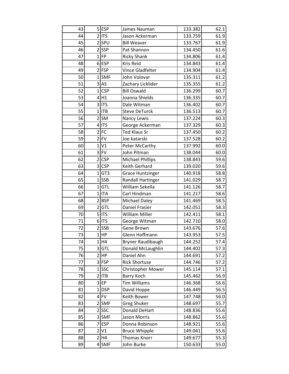| 43 |                | 5 ESP      | James Nauman             | 133.382 | 62.1 |
|----|----------------|------------|--------------------------|---------|------|
| 44 |                | $2$ ITS    | Jason Ackerman           | 133.759 | 61.9 |
| 45 |                | $2$ SPU    | <b>Bill Weaver</b>       | 133.767 | 61.9 |
| 46 |                | $2$ SSP    | Pat Shannon              | 134.450 | 61.6 |
| 47 |                | $1$ FP     | <b>Ricky Shank</b>       | 134.806 | 61.4 |
| 48 |                | $6$ ESP    | Kris Reid                | 134.843 | 61.4 |
| 49 |                | $2$ FSP    | Vince Gladfelter         | 134.904 | 61.4 |
| 50 |                | $1$ SMF    | John Volovar             | 135.311 | 61.2 |
| 51 |                | $3$ AS     | Zachary Licklider        | 135.355 | 61.2 |
| 52 |                | 1 CSP      | <b>Bill Oswald</b>       | 136.299 | 60.7 |
| 53 |                | 4 H1       | Joanna Shields           | 136.335 | 60.7 |
| 54 |                | $3$ ITS    | Dale Witman              | 136.402 | 60.7 |
| 55 |                | $1$  ITB   | <b>Steve DeTurck</b>     | 136.513 | 60.7 |
| 56 |                | $2$ SM     | Nancy Lewis              | 137.224 | 60.3 |
| 57 |                | 4 ITS      | George Ackerman          | 137.329 | 60.3 |
| 58 |                | $2$ FC     | Ted Klaus Sr             | 137.450 | 60.2 |
| 59 |                | $2$ FV     | Joe katarski             | 137.528 | 60.2 |
| 60 | $\mathbf{1}$   | V1         | Peter McCarthy           | 137.992 | 60.0 |
| 61 |                | $3$ FV     | John Pitman              | 138.044 | 60.0 |
| 62 |                | 2 CSP      | <b>Michael Phillips</b>  | 138.843 | 59.6 |
| 63 |                | $3$ CSP    | Keith Gerhard            | 139.020 | 59.6 |
| 64 |                | 1 GT3      | <b>Grace Huntzinger</b>  | 140.918 | 58.8 |
| 65 |                | $1$ SSB    | <b>Randall Hartinger</b> | 141.029 | 58.7 |
| 66 | $\mathbf{1}$   | GTL        | William Sekella          | 141.126 | 58.7 |
| 67 |                | $1$   ITA  | Carl Hindman             | 141.217 | 58.6 |
| 68 |                | 2 BSP      | <b>Michael Daley</b>     | 141.469 | 58.5 |
| 69 |                | 2 GTL      | Daniel Frasier           | 142.051 | 58.3 |
| 70 |                | $5$ ITS    | William Miller           | 142.411 | 58.1 |
| 71 |                | $6$ ITS    | George Witman            | 142.710 | 58.0 |
| 72 |                | $2$ SSB    | Gene Brown               | 143.676 | 57.6 |
| 73 |                | $1$ HP     | Glenn Hoffmann           | 143.953 | 57.5 |
| 74 |                | $1$ H4     | Bryner Raudibaugh        | 144.252 | 57.4 |
| 75 |                | 3 GTL      | Donald McLaughlin        | 144.402 | 57.3 |
| 76 |                | 2 HP       | Daniel Ahn               | 144.691 | 57.2 |
| 77 |                | $3$ FSP    | <b>Rick Shortuse</b>     | 144.746 | 57.2 |
| 78 |                | $1$ SSC    | <b>Christopher Mower</b> | 145.114 | 57.1 |
| 79 |                | $2$ ITB    | Barry Koch               | 145.462 | 56.9 |
| 80 |                | $3$ EP     | <b>Tim Williams</b>      | 146.368 | 56.6 |
| 81 |                | $1$ DSP    | David Hoppe              | 146.449 | 56.5 |
| 82 |                | $4$ FV     | Keith Bower              | 147.748 | 56.0 |
| 83 |                | $2$ SMF    | <b>Greg Shuker</b>       | 148.697 | 55.7 |
| 84 |                | 2 SSC      | <b>Donald DeHart</b>     | 148.836 | 55.6 |
| 85 |                | 3 SMF      | Jason Morris             | 148.862 | 55.6 |
| 86 | 7              | <b>ESP</b> | Donna Robinson           | 148.921 | 55.6 |
| 87 | $\overline{2}$ | V1         | <b>Bruce Whipple</b>     | 149.041 | 55.6 |
| 88 |                | 2 H4       | Thomas Knorr             | 149.677 | 55.3 |
| 89 |                | $4$ SMF    | John Burke               | 150.633 | 55.0 |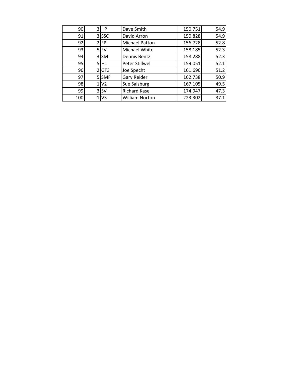| 90  |              | $3$ HP | Dave Smith            | 150.751 | 54.9 |
|-----|--------------|--------|-----------------------|---------|------|
| 91  |              | 3 SSC  | David Arron           | 150.828 | 54.9 |
| 92  |              | $2$ FP | <b>Michael Patton</b> | 156.728 | 52.8 |
| 93  |              | $5$ FV | Michael White         | 158.185 | 52.3 |
| 94  |              | 3 SM   | Dennis Bentz          | 158.288 | 52.3 |
| 95  |              | 5H1    | Peter Stillwell       | 159.051 | 52.1 |
| 96  |              | 2 GT3  | Joe Specht            | 161.696 | 51.2 |
| 97  |              | 5 SMF  | <b>Gary Reider</b>    | 162.738 | 50.9 |
| 98  |              | 1 V2   | Sue Salsburg          | 167.105 | 49.5 |
| 99  |              | $3$ SV | <b>Richard Kase</b>   | 174.947 | 47.3 |
| 100 | $\mathbf{1}$ | V3     | <b>William Norton</b> | 223.302 | 37.1 |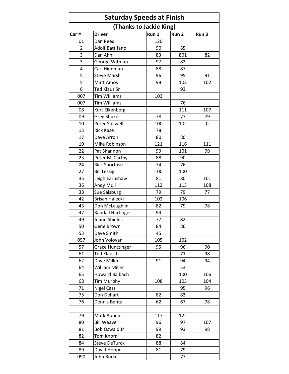| <b>Saturday Speeds at Finish</b> |                         |       |       |                  |  |  |  |  |  |
|----------------------------------|-------------------------|-------|-------|------------------|--|--|--|--|--|
| (Thanks to Jackie King)          |                         |       |       |                  |  |  |  |  |  |
| Car#                             | <b>Driver</b>           | Run 1 | Run 2 | Run <sub>3</sub> |  |  |  |  |  |
| 01                               | Dan Reed                | 120   |       |                  |  |  |  |  |  |
| 2                                | Adolf Battifano         | 90    | 85    |                  |  |  |  |  |  |
| 3                                | Dan Ahn                 | 83    | 801   | 82               |  |  |  |  |  |
| 3                                | George Witman           | 97    | 82    |                  |  |  |  |  |  |
| 4                                | Carl Hindman            | 88    | 87    |                  |  |  |  |  |  |
| 5                                | <b>Steve Marsh</b>      | 96    | 95    | 91               |  |  |  |  |  |
| 5                                | Matt Amos               | 99    | 103   | 102              |  |  |  |  |  |
| 6                                | <b>Ted Klaus Sr</b>     |       | 93    |                  |  |  |  |  |  |
| 007                              | <b>Tim Williams</b>     | 103   |       |                  |  |  |  |  |  |
| 007                              | <b>Tim Williams</b>     |       | 76    |                  |  |  |  |  |  |
| 08                               | Kurt Eikenberg          |       | 111   | 107              |  |  |  |  |  |
| 09                               | <b>Greg Shuker</b>      | 78    | 77    | 79               |  |  |  |  |  |
| 10                               | Peter Stillwell         | 100   | 102   | 0                |  |  |  |  |  |
| 13                               | <b>Rick Kase</b>        | 78    |       |                  |  |  |  |  |  |
| 17                               | Dave Arron              | 80    | 80    |                  |  |  |  |  |  |
| 19                               | Mike Robinson           | 121   | 116   | 111              |  |  |  |  |  |
| 22                               | Pat Shannon             | 99    | 101   | 99               |  |  |  |  |  |
| 23                               | Peter McCarthy          | 88    | 90    |                  |  |  |  |  |  |
| 24                               | <b>Rick Shortuse</b>    | 74    | 76    |                  |  |  |  |  |  |
| 27                               | <b>Bill Lessig</b>      | 100   | 100   |                  |  |  |  |  |  |
| 35                               | Leigh Earnshaw          | 81    | 80    | 101              |  |  |  |  |  |
| 36                               | Andy Mull               | 112   | 113   | 108              |  |  |  |  |  |
| 38                               | Sue Salsburg            | 79    | 79    | 77               |  |  |  |  |  |
| 42                               | <b>Brisan Halecki</b>   | 102   | 106   |                  |  |  |  |  |  |
| 43                               | Don McLaughlin          | 82    | 79    | 78               |  |  |  |  |  |
| 47                               | Randall Hartinger       | 94    |       |                  |  |  |  |  |  |
| 49                               | Joann Shields           | 77    | 82    |                  |  |  |  |  |  |
| 50                               | Gene Brown              | 84    | 86    |                  |  |  |  |  |  |
| 53                               | Dave Smith              | 45    |       |                  |  |  |  |  |  |
| 057                              | John Volovar            | 105   | 102   |                  |  |  |  |  |  |
| 57                               | <b>Grace Huntzinger</b> | 95    | 96    | 90               |  |  |  |  |  |
| 61                               | <b>Ted Klaus Jr</b>     |       | 71    | 98               |  |  |  |  |  |
| 62                               | Dave Miller             | 91    | 94    | 94               |  |  |  |  |  |
| 64                               | <b>William Miller</b>   |       | 53    |                  |  |  |  |  |  |
| 65                               | <b>Howard Balbach</b>   |       | 100   | 106              |  |  |  |  |  |
| 68                               | Tim Murphy              | 108   | 103   | 104              |  |  |  |  |  |
| 71                               | <b>Nigel Cass</b>       |       | 95    | 96               |  |  |  |  |  |
| 75                               | Don Dehart              | 82    | 83    |                  |  |  |  |  |  |
| 76                               | Dennis Bentz            | 62    | 67    | 78               |  |  |  |  |  |
|                                  |                         |       |       |                  |  |  |  |  |  |
| 79                               | Mark Aubele             | 117   | 122   |                  |  |  |  |  |  |
| 80                               | <b>Bill Weaver</b>      | 96    | 97    | 107              |  |  |  |  |  |
| 81                               | Bob Oswald Jr           | 99    | 93    | 98               |  |  |  |  |  |
| 82                               | <b>Tom Knorr</b>        | 82    |       |                  |  |  |  |  |  |
| 84                               | <b>Steve DeTurck</b>    | 88    | 84    |                  |  |  |  |  |  |
| 89                               | David Hoppe             | 81    | 79    |                  |  |  |  |  |  |
| 090                              | John Burke              |       | 77    |                  |  |  |  |  |  |